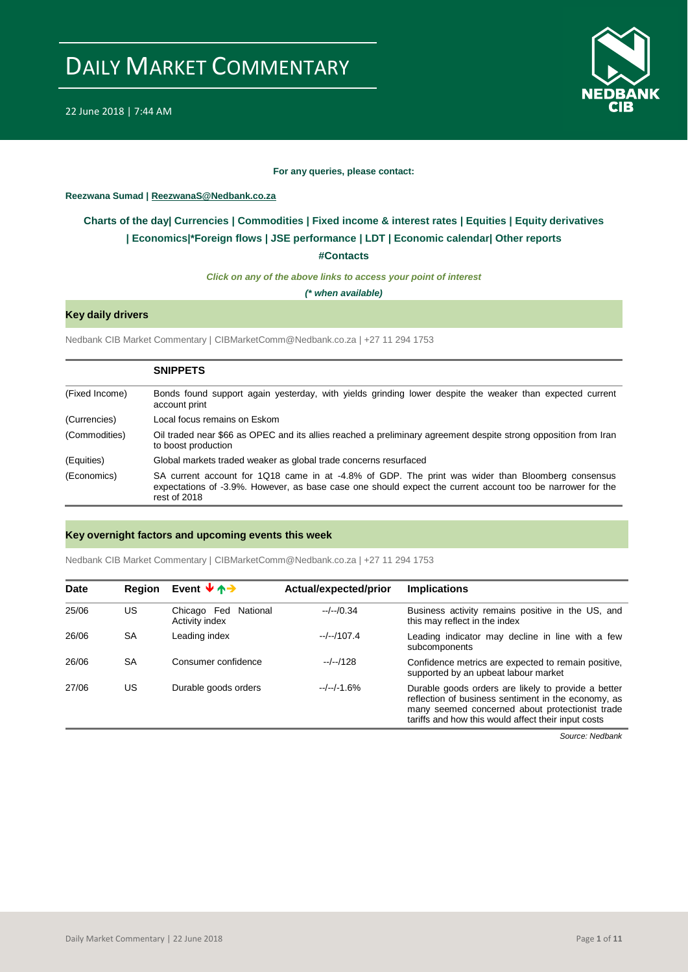

#### **For any queries, please contact:**

## <span id="page-0-0"></span>**Reezwana Sumad | ReezwanaS@Nedbank.co.za**

## **Charts of the day| [Currencies](#page-2-0) [| Commodities](#page-3-0) | [Fixed income & interest rates](#page-1-0) | [Equities](#page-4-0) | Equity derivatives | [Economics|\\*](#page-7-0)Foreign flows [| JSE performance](#page-4-1) | [LDT](#page-5-0) | [Economic calendar|](#page-8-0) Other reports**

**[#Contacts](#page-9-0)**

*Click on any of the above links to access your point of interest*

*(\* when available)*

## **Key daily drivers**

Nedbank CIB Market Commentary | CIBMarketComm@Nedbank.co.za | +27 11 294 1753

|                | <b>SNIPPETS</b>                                                                                                                                                                                                                 |
|----------------|---------------------------------------------------------------------------------------------------------------------------------------------------------------------------------------------------------------------------------|
| (Fixed Income) | Bonds found support again yesterday, with yields grinding lower despite the weaker than expected current<br>account print                                                                                                       |
| (Currencies)   | Local focus remains on Eskom                                                                                                                                                                                                    |
| (Commodities)  | Oil traded near \$66 as OPEC and its allies reached a preliminary agreement despite strong opposition from Iran<br>to boost production                                                                                          |
| (Equities)     | Global markets traded weaker as global trade concerns resurfaced                                                                                                                                                                |
| (Economics)    | SA current account for 1Q18 came in at -4.8% of GDP. The print was wider than Bloomberg consensus<br>expectations of -3.9%. However, as base case one should expect the current account too be narrower for the<br>rest of 2018 |

## **Key overnight factors and upcoming events this week**

Nedbank CIB Market Commentary | CIBMarketComm@Nedbank.co.za | +27 11 294 1753

| <b>Date</b> | <b>Region</b> | Event $\forall \uparrow \rightarrow$      | Actual/expected/prior | <b>Implications</b>                                                                                                                                                                                                  |
|-------------|---------------|-------------------------------------------|-----------------------|----------------------------------------------------------------------------------------------------------------------------------------------------------------------------------------------------------------------|
| 25/06       | US            | Chicago Fed<br>National<br>Activity index | $-/-/0.34$            | Business activity remains positive in the US, and<br>this may reflect in the index                                                                                                                                   |
| 26/06       | <b>SA</b>     | Leading index                             | $-/-/107.4$           | Leading indicator may decline in line with a few<br>subcomponents                                                                                                                                                    |
| 26/06       | <b>SA</b>     | Consumer confidence                       | $-/-/128$             | Confidence metrics are expected to remain positive,<br>supported by an upbeat labour market                                                                                                                          |
| 27/06       | US            | Durable goods orders                      | $-/-/-1.6%$           | Durable goods orders are likely to provide a better<br>reflection of business sentiment in the economy, as<br>many seemed concerned about protectionist trade<br>tariffs and how this would affect their input costs |

*Source: Nedbank*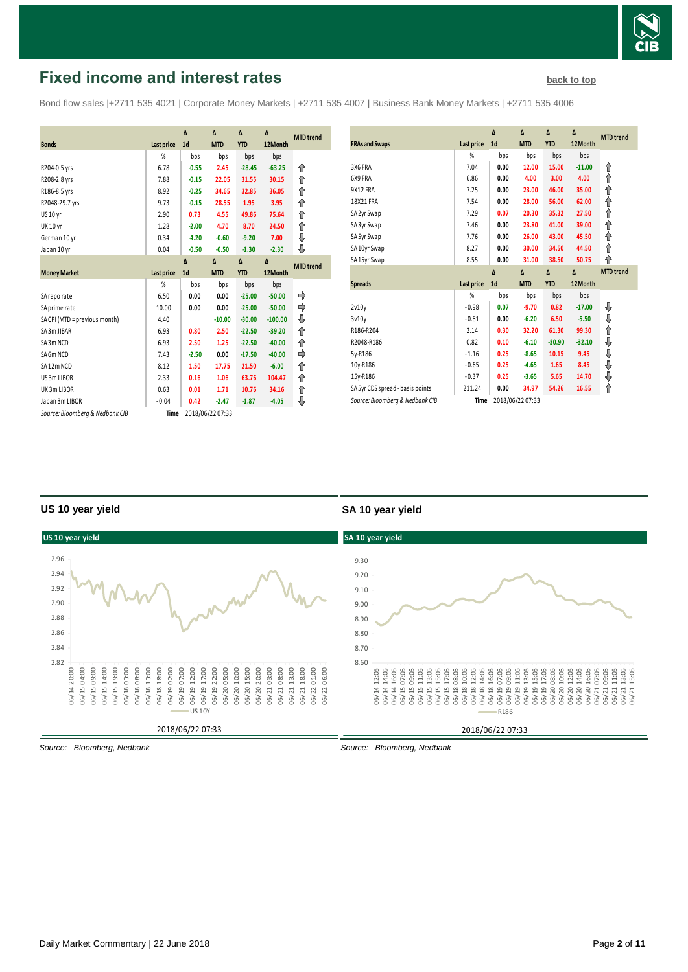

## <span id="page-1-0"></span>**Fixed income and interest rates [back to top](#page-0-0) back to top**

Bond flow sales |+2711 535 4021 | Corporate Money Markets | +2711 535 4007 | Business Bank Money Markets | +2711 535 4006

|                                 |            | Δ              | Δ                | Δ          | Δ         |                  |
|---------------------------------|------------|----------------|------------------|------------|-----------|------------------|
| <b>Bonds</b>                    | Last price | 1 <sub>d</sub> | <b>MTD</b>       | <b>YTD</b> | 12Month   | <b>MTD</b> trend |
|                                 | %          | bps            | bps              | bps        | bps       |                  |
| R204-0.5 yrs                    | 6.78       | $-0.55$        | 2.45             | $-28.45$   | $-63.25$  | ⇑                |
| R208-2.8 yrs                    | 7.88       | $-0.15$        | 22.05            | 31.55      | 30.15     | ↟                |
| R186-8.5 yrs                    | 8.92       | $-0.25$        | 34.65            | 32.85      | 36.05     | ↟                |
| R2048-29.7 yrs                  | 9.73       | $-0.15$        | 28.55            | 1.95       | 3.95      | ↟                |
| US 10 yr                        | 2.90       | 0.73           | 4.55             | 49.86      | 75.64     | ⇑                |
| <b>UK 10 yr</b>                 | 1.28       | $-2.00$        | 4.70             | 8.70       | 24.50     | ⇑                |
| German 10 yr                    | 0.34       | $-4.20$        | $-0.60$          | $-9.20$    | 7.00      | ⇓                |
| Japan 10 yr                     | 0.04       | $-0.50$        | $-0.50$          | $-1.30$    | $-2.30$   | ⊕                |
|                                 |            | $\Lambda$      | Δ                | Δ          | Δ         | <b>MTD</b> trend |
| <b>Money Market</b>             | Last price | 1 <sub>d</sub> | <b>MTD</b>       | <b>YTD</b> | 12Month   |                  |
|                                 | %          | bps            | bps              | bps        | bps       |                  |
| SA reporate                     | 6.50       | 0.00           | 0.00             | $-25.00$   | $-50.00$  |                  |
| SA prime rate                   | 10.00      | 0.00           | 0.00             | $-25.00$   | $-50.00$  | ⇛                |
| SA CPI (MTD = previous month)   | 4.40       |                | $-10.00$         | $-30.00$   | $-100.00$ | ⇓                |
| SA3m JIBAR                      | 6.93       | 0.80           | 2.50             | $-22.50$   | $-39.20$  | ⇑                |
| SA3m NCD                        | 6.93       | 2.50           | 1.25             | $-22.50$   | $-40.00$  | ⇑                |
| SA6m NCD                        | 7.43       | $-2.50$        | 0.00             | $-17.50$   | $-40.00$  | ∔                |
| SA12m NCD                       | 8.12       | 1.50           | 17.75            | 21.50      | $-6.00$   | ⇑                |
| US 3m LIBOR                     | 2.33       | 0.16           | 1.06             | 63.76      | 104.47    | ⇑                |
| UK 3m LIBOR                     | 0.63       | 0.01           | 1.71             | 10.76      | 34.16     | ↟                |
| Japan 3m LIBOR                  | $-0.04$    | 0.42           | $-2.47$          | $-1.87$    | $-4.05$   | ⇓                |
| Source: Bloomberg & Nedbank CIB | Time       |                | 2018/06/22 07:33 |            |           |                  |

| <b>FRAs and Swaps</b>            | Last price | Δ<br>1 <sub>d</sub> | Δ<br><b>MTD</b> | Δ<br><b>YTD</b> | Δ<br>12Month | <b>MTD</b> trend |
|----------------------------------|------------|---------------------|-----------------|-----------------|--------------|------------------|
|                                  | %          | bps                 | bps             | bps             | bps          |                  |
| 3X6 FRA                          | 7.04       | 0.00                | 12.00           | 15.00           | $-11.00$     | ⇑                |
| 6X9 FRA                          | 6.86       | 0.00                | 4.00            | 3.00            | 4.00         | ⇑                |
| 9X12 FRA                         | 7.25       | 0.00                | 23.00           | 46.00           | 35.00        | ⋔                |
| 18X21 FRA                        | 7.54       | 0.00                | 28.00           | 56.00           | 62.00        | ⋔                |
| SA 2yr Swap                      | 7.29       | 0.07                | 20.30           | 35.32           | 27.50        | ⋔                |
| SA 3yr Swap                      | 7.46       | 0.00                | 23.80           | 41.00           | 39.00        | ⋔                |
| SA 5yr Swap                      | 7.76       | 0.00                | 26.00           | 43.00           | 45.50        | ⋔                |
| SA10yr Swap                      | 8.27       | 0.00                | 30.00           | 34.50           | 44.50        | ⋔                |
| SA15yr Swap                      | 8.55       | 0.00                | 31.00           | 38.50           | 50.75        | ⇑                |
|                                  |            |                     |                 |                 |              |                  |
|                                  |            | $\Delta$            | $\Delta$        | $\Delta$        | Δ            | <b>MTD</b> trend |
| <b>Spreads</b>                   | Last price | 1 <sub>d</sub>      | <b>MTD</b>      | <b>YTD</b>      | 12Month      |                  |
|                                  | %          | bps                 | bps             | bps             | bps          |                  |
| 2v10v                            | $-0.98$    | 0.07                | $-9.70$         | 0.82            | $-17.00$     | ₽                |
| 3v10v                            | $-0.81$    | 0.00                | $-6.20$         | 6.50            | $-5.50$      | ⇓                |
| R186-R204                        | 2.14       | 0.30                | 32.20           | 61.30           | 99.30        | ⋔                |
| R2048-R186                       | 0.82       | 0.10                | $-6.10$         | $-30.90$        | $-32.10$     | ⇓                |
| 5y-R186                          | $-1.16$    | 0.25                | $-8.65$         | 10.15           | 9.45         | ⇓                |
| 10y-R186                         | $-0.65$    | 0.25                | $-4.65$         | 1.65            | 8.45         | ⇓                |
| 15y-R186                         | $-0.37$    | 0.25                | $-3.65$         | 5.65            | 14.70        | ⇓                |
| SA 5yr CDS spread - basis points | 211.24     | 0.00                | 34.97           | 54.26           | 16.55        | ⋔                |

## **US 10 year yield**

## **SA 10 year yield**



*Source: Bloomberg, Nedbank*

*Source: Bloomberg, Nedbank*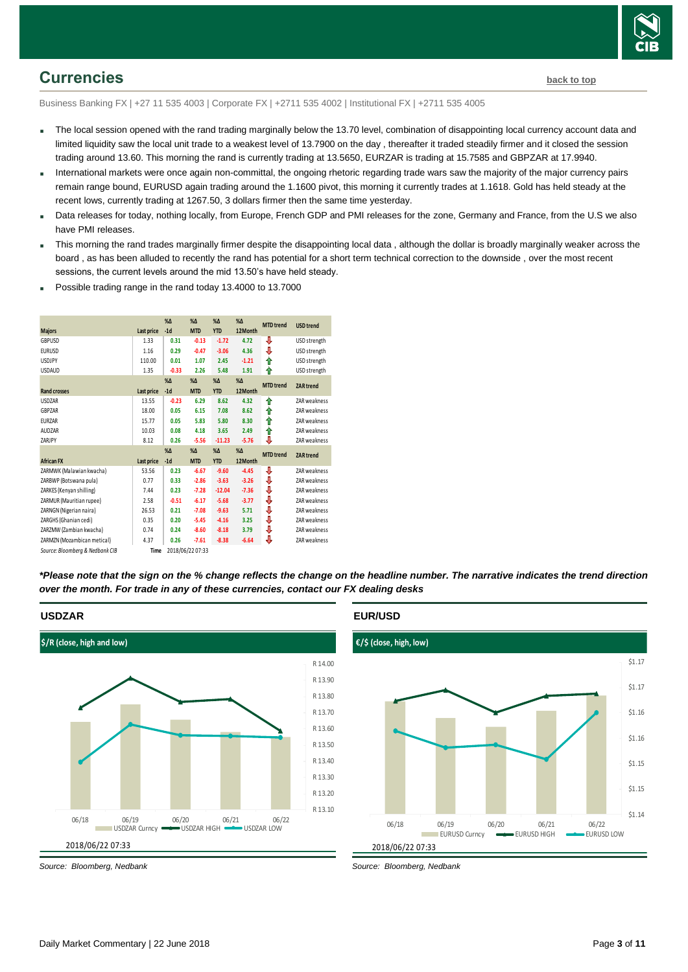

## <span id="page-2-0"></span>**Currencies [back to top](#page-0-0)**

Business Banking FX | +27 11 535 4003 | Corporate FX | +2711 535 4002 | Institutional FX | +2711 535 4005

- The local session opened with the rand trading marginally below the 13.70 level, combination of disappointing local currency account data and limited liquidity saw the local unit trade to a weakest level of 13.7900 on the day , thereafter it traded steadily firmer and it closed the session trading around 13.60. This morning the rand is currently trading at 13.5650, EURZAR is trading at 15.7585 and GBPZAR at 17.9940.
- International markets were once again non-committal, the ongoing rhetoric regarding trade wars saw the majority of the major currency pairs remain range bound, EURUSD again trading around the 1.1600 pivot, this morning it currently trades at 1.1618. Gold has held steady at the recent lows, currently trading at 1267.50, 3 dollars firmer then the same time yesterday.
- Data releases for today, nothing locally, from Europe, French GDP and PMI releases for the zone, Germany and France, from the U.S we also have PMI releases.
- This morning the rand trades marginally firmer despite the disappointing local data , although the dollar is broadly marginally weaker across the board , as has been alluded to recently the rand has potential for a short term technical correction to the downside , over the most recent sessions, the current levels around the mid 13.50's have held steady.
- Possible trading range in the rand today 13.4000 to 13.7000

|                                 |            | $% \Delta$   | $%$ $\Delta$     | $%$ $\Delta$ | $%$ $\Delta$ | <b>MTD</b> trend | <b>USD</b> trend |
|---------------------------------|------------|--------------|------------------|--------------|--------------|------------------|------------------|
| <b>Majors</b>                   | Last price | $-1d$        | <b>MTD</b>       | <b>YTD</b>   | 12Month      |                  |                  |
| GBPUSD                          | 1.33       | 0.31         | $-0.13$          | $-1.72$      | 4.72         | ⇩                | USD strength     |
| <b>EURUSD</b>                   | 1.16       | 0.29         | $-0.47$          | $-3.06$      | 4.36         | ⇓                | USD strength     |
| <b>USDJPY</b>                   | 110.00     | 0.01         | 1.07             | 2.45         | $-1.21$      | ↑                | USD strength     |
| <b>USDAUD</b>                   | 1.35       | $-0.33$      | 2.26             | 5.48         | 1.91         | ⇑                | USD strength     |
|                                 |            | $%$ $\Delta$ | $%$ $\Delta$     | $%$ $\Delta$ | $%$ $\Delta$ | <b>MTD</b> trend | <b>ZAR trend</b> |
| <b>Rand crosses</b>             | Last price | $-1d$        | <b>MTD</b>       | <b>YTD</b>   | 12Month      |                  |                  |
| <b>USDZAR</b>                   | 13.55      | $-0.23$      | 6.29             | 8.62         | 4.32         | ↟                | ZAR weakness     |
| GBPZAR                          | 18.00      | 0.05         | 6.15             | 7.08         | 8.62         | ⇑                | ZAR weakness     |
| <b>EURZAR</b>                   | 15.77      | 0.05         | 5.83             | 5.80         | 8.30         | ⇑                | ZAR weakness     |
| AUDZAR                          | 10.03      | 0.08         | 4.18             | 3.65         | 2.49         | ⇑                | ZAR weakness     |
| ZARJPY                          | 8.12       | 0.26         | $-5.56$          | $-11.23$     | $-5.76$      | ⇩                | ZAR weakness     |
|                                 |            | $%$ $\Delta$ | $%$ $\Delta$     | $%$ $\Delta$ | $%$ $\Delta$ | <b>MTD</b> trend | <b>ZAR trend</b> |
| <b>African FX</b>               | Last price | $-1d$        | <b>MTD</b>       | <b>YTD</b>   | 12Month      |                  |                  |
| ZARMWK (Malawian kwacha)        | 53.56      | 0.23         | $-6.67$          | $-9.60$      | $-4.45$      | ⊕                | ZAR weakness     |
| ZARBWP (Botswana pula)          | 0.77       | 0.33         | $-2.86$          | $-3.63$      | $-3.26$      | ⊕                | ZAR weakness     |
| ZARKES (Kenyan shilling)        | 7.44       | 0.23         | $-7.28$          | $-12.04$     | $-7.36$      | ⇓                | ZAR weakness     |
| ZARMUR (Mauritian rupee)        | 2.58       | $-0.51$      | $-6.17$          | $-5.68$      | $-3.77$      | ⇓                | ZAR weakness     |
| ZARNGN (Nigerian naira)         | 26.53      | 0.21         | $-7.08$          | $-9.63$      | 5.71         | ♦                | ZAR weakness     |
| ZARGHS (Ghanian cedi)           | 0.35       | 0.20         | $-5.45$          | $-4.16$      | 3.25         | ⇓                | ZAR weakness     |
| ZARZMW (Zambian kwacha)         | 0.74       | 0.24         | $-8.60$          | $-8.18$      | 3.79         | ⊕                | ZAR weakness     |
| ZARMZN (Mozambican metical)     | 4.37       | 0.26         | $-7.61$          | $-8.38$      | $-6.64$      | ⇩                | ZAR weakness     |
| Source: Bloomberg & Nedbank CIB | Time       |              | 2018/06/22 07:33 |              |              |                  |                  |

*\*Please note that the sign on the % change reflects the change on the headline number. The narrative indicates the trend direction over the month. For trade in any of these currencies, contact our FX dealing desks*

## **USDZAR**



*Source: Bloomberg, Nedbank*

## **EUR/USD**



*Source: Bloomberg, Nedbank*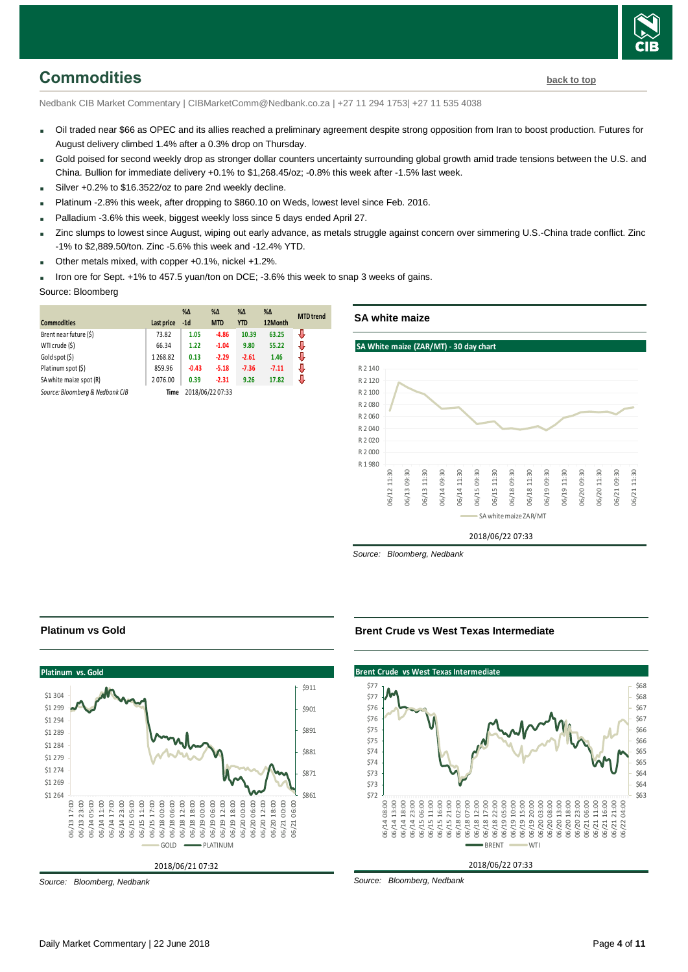

## <span id="page-3-0"></span>**Commodities [back to top](#page-0-0)**

Nedbank CIB Market Commentary | CIBMarketComm@Nedbank.co.za | +27 11 294 1753| +27 11 535 4038

- Oil traded near \$66 as OPEC and its allies reached a preliminary agreement despite strong opposition from Iran to boost production. Futures for August delivery climbed 1.4% after a 0.3% drop on Thursday.
- Gold poised for second weekly drop as stronger dollar counters uncertainty surrounding global growth amid trade tensions between the U.S. and China. Bullion for immediate delivery +0.1% to \$1,268.45/oz; -0.8% this week after -1.5% last week.
- Silver +0.2% to \$16.3522/oz to pare 2nd weekly decline.
- Platinum -2.8% this week, after dropping to \$860.10 on Weds, lowest level since Feb. 2016.
- Palladium -3.6% this week, biggest weekly loss since 5 days ended April 27.
- Zinc slumps to lowest since August, wiping out early advance, as metals struggle against concern over simmering U.S.-China trade conflict. Zinc -1% to \$2,889.50/ton. Zinc -5.6% this week and -12.4% YTD.
- Other metals mixed, with copper +0.1%, nickel +1.2%.
- Iron ore for Sept. +1% to 457.5 yuan/ton on DCE; -3.6% this week to snap 3 weeks of gains.

## Source: Bloomberg

|                                 |            | $% \Delta$       | $%$ $\Delta$ | $% \Delta$ | $\%$ $\Delta$ | <b>MTD</b> trend |
|---------------------------------|------------|------------------|--------------|------------|---------------|------------------|
| <b>Commodities</b>              | Last price | $-1d$            | <b>MTD</b>   | <b>YTD</b> | 12Month       |                  |
| Brent near future (\$)          | 73.82      | 1.05             | $-4.86$      | 10.39      | 63.25         | J                |
| WTI crude (\$)                  | 66.34      | 1.22             | $-1.04$      | 9.80       | 55.22         | J                |
| Gold spot (\$)                  | 1268.82    | 0.13             | $-2.29$      | $-2.61$    | 1.46          | J                |
| Platinum spot (\$)              | 859.96     | $-0.43$          | $-5.18$      | $-7.36$    | $-7.11$       | J                |
| SA white maize spot (R)         | 2076.00    | 0.39             | $-2.31$      | 9.26       | 17.82         | J                |
| Source: Bloomberg & Nedbank CIB | Time       | 2018/06/22 07:33 |              |            |               |                  |

**SA white maize**



*Source: Bloomberg, Nedbank*

#### **Platinum vs Gold**



*Source: Bloomberg, Nedbank*

#### **Brent Crude vs West Texas Intermediate**



*Source: Bloomberg, Nedbank*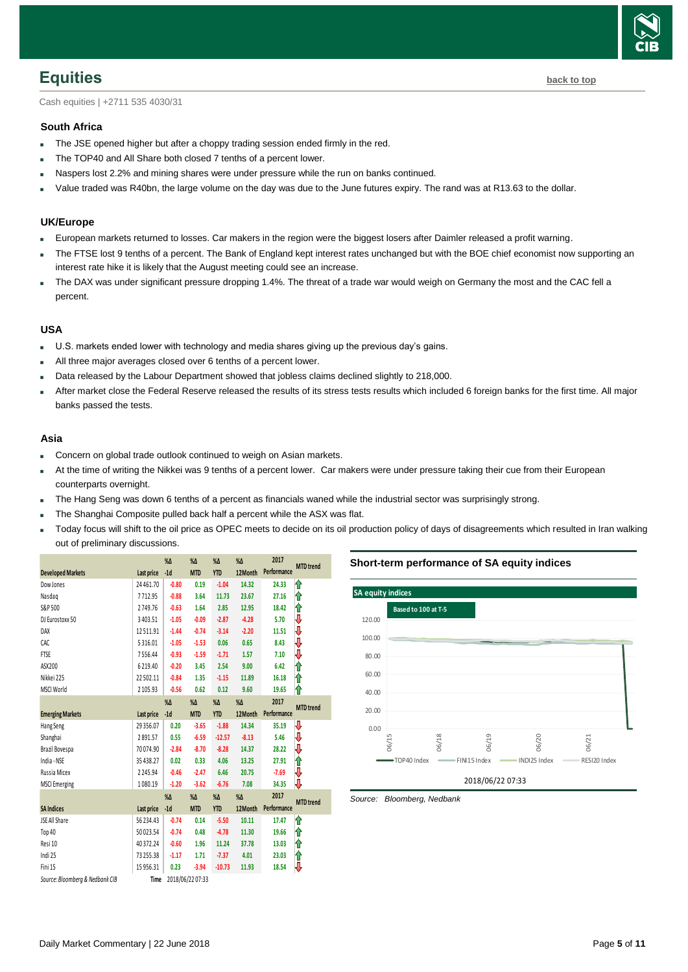

## <span id="page-4-0"></span>**Equities [back to top](#page-0-0)**

Cash equities | +2711 535 4030/31

## **South Africa**

- The JSE opened higher but after a choppy trading session ended firmly in the red.
- The TOP40 and All Share both closed 7 tenths of a percent lower.
- Naspers lost 2.2% and mining shares were under pressure while the run on banks continued.
- Value traded was R40bn, the large volume on the day was due to the June futures expiry. The rand was at R13.63 to the dollar.

## **UK/Europe**

- European markets returned to losses. Car makers in the region were the biggest losers after Daimler released a profit warning.
- The FTSE lost 9 tenths of a percent. The Bank of England kept interest rates unchanged but with the BOE chief economist now supporting an interest rate hike it is likely that the August meeting could see an increase.
- The DAX was under significant pressure dropping 1.4%. The threat of a trade war would weigh on Germany the most and the CAC fell a percent.

## **USA**

- U.S. markets ended lower with technology and media shares giving up the previous day's gains.
- All three major averages closed over 6 tenths of a percent lower.
- Data released by the Labour Department showed that jobless claims declined slightly to 218,000.
- After market close the Federal Reserve released the results of its stress tests results which included 6 foreign banks for the first time. All major banks passed the tests.

## **Asia**

- Concern on global trade outlook continued to weigh on Asian markets.
- At the time of writing the Nikkei was 9 tenths of a percent lower. Car makers were under pressure taking their cue from their European counterparts overnight.
- The Hang Seng was down 6 tenths of a percent as financials waned while the industrial sector was surprisingly strong.
- The Shanghai Composite pulled back half a percent while the ASX was flat.
- Today focus will shift to the oil price as OPEC meets to decide on its oil production policy of days of disagreements which resulted in Iran walking out of preliminary discussions.

|                                 |                   | $% \Delta$       | %Δ         | $% \Delta$    | $% \Delta$    | 2017        | <b>MTD</b> trend |
|---------------------------------|-------------------|------------------|------------|---------------|---------------|-------------|------------------|
| <b>Developed Markets</b>        | <b>Last price</b> | $-1d$            | <b>MTD</b> | <b>YTD</b>    | 12Month       | Performance |                  |
| Dow Jones                       | 24 461.70         | $-0.80$          | 0.19       | $-1.04$       | 14.32         | 24.33       | ⇑                |
| Nasdag                          | 7712.95           | $-0.88$          | 3.64       | 11.73         | 23.67         | 27.16       | ⇑                |
| S&P 500                         | 2749.76           | $-0.63$          | 1.64       | 2.85          | 12.95         | 18.42       | ⇑                |
| DJ Eurostoxx 50                 | 3 4 0 3 . 5 1     | $-1.05$          | $-0.09$    | $-2.87$       | $-4.28$       | 5.70        | ₩                |
| DAX                             | 12511.91          | $-1.44$          | $-0.74$    | $-3.14$       | $-2.20$       | 11.51       | ₩                |
| CAC                             | 5316.01           | $-1.05$          | $-1.53$    | 0.06          | 0.65          | 8.43        | ₩                |
| <b>FTSE</b>                     | 7556.44           | $-0.93$          | $-1.59$    | $-1.71$       | 1.57          | 7.10        | ₩                |
| ASX200                          | 6219.40           | $-0.20$          | 3.45       | 2.54          | 9.00          | 6.42        | ⇑                |
| Nikkei 225                      | 22 502.11         | $-0.84$          | 1.35       | $-1.15$       | 11.89         | 16.18       | ⋔                |
| MSCI World                      | 2 105.93          | $-0.56$          | 0.62       | 0.12          | 9.60          | 19.65       | ⋔                |
|                                 |                   | $\%$ $\Delta$    | %Δ         | $\%$ $\Delta$ | $\%$ $\Delta$ | 2017        | <b>MTD</b> trend |
| <b>Emerging Markets</b>         | Last price        | $-1d$            | <b>MTD</b> | <b>YTD</b>    | 12Month       | Performance |                  |
| Hang Seng                       | 29 35 6.07        | 0.20             | $-3.65$    | $-1.88$       | 14.34         | 35.19       | ⇩                |
| Shanghai                        | 2891.57           | 0.55             | $-6.59$    | $-12.57$      | $-8.13$       | 5.46        | ⇩                |
| Brazil Bovespa                  | 70074.90          | $-2.84$          | $-8.70$    | $-8.28$       | 14.37         | 28.22       | ₩                |
| India - NSE                     | 35 438.27         | 0.02             | 0.33       | 4.06          | 13.25         | 27.91       | ⇑                |
| Russia Micex                    | 2 2 4 5 . 9 4     | $-0.46$          | $-2.47$    | 6.46          | 20.75         | $-7.69$     | ⇩                |
| <b>MSCI</b> Emerging            | 1080.19           | $-1.20$          | $-3.62$    | $-6.76$       | 7.08          | 34.35       | V                |
|                                 |                   | $% \Delta$       | $% \Delta$ | $% \Delta$    | $\%$ $\Delta$ | 2017        | <b>MTD</b> trend |
| <b>SA Indices</b>               | Last price        | $-1d$            | <b>MTD</b> | <b>YTD</b>    | 12Month       | Performance |                  |
| <b>JSE All Share</b>            | 56 234.43         | $-0.74$          | 0.14       | $-5.50$       | 10.11         | 17.47       | ⇑                |
| Top 40                          | 50 023.54         | $-0.74$          | 0.48       | $-4.78$       | 11.30         | 19.66       | ⇑                |
| Resi 10                         | 40 372.24         | $-0.60$          | 1.96       | 11.24         | 37.78         | 13.03       | ⇑                |
| Indi 25                         | 73 255.38         | $-1.17$          | 1.71       | $-7.37$       | 4.01          | 23.03       | ⇑                |
| Fini 15                         | 15956.31          | 0.23             | $-3.94$    | $-10.73$      | 11.93         | 18.54       | V                |
| Source: Bloomberg & Nedbank CIB | Time              | 2018/06/22 07:33 |            |               |               |             |                  |

## **Short-term performance of SA equity indices**



<span id="page-4-1"></span>*Source: Bloomberg, Nedbank*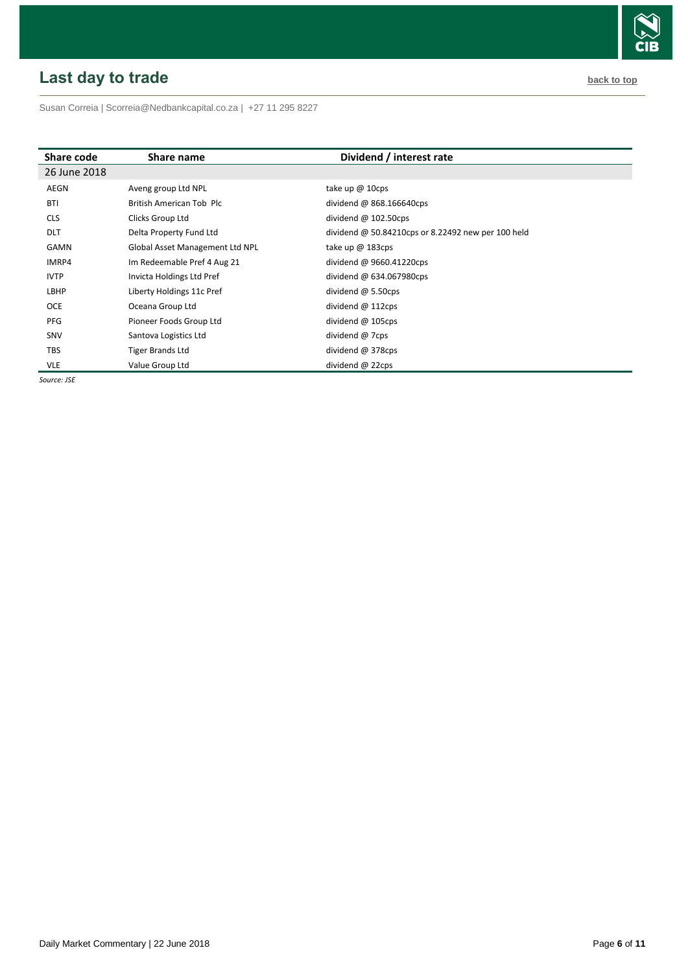# <span id="page-5-0"></span>**Last day to trade back to the contract of the contract of the contract of the contract of the contract of the contract of the contract of the contract of the contract of the contract of the contract of the contract of t**

Susan Correia [| Scorreia@Nedbankcapital.co.za](mailto:Scorreia@Nedbankcapital.co.za) | +27 11 295 8227

| Share code   | Share name                      | Dividend / interest rate                           |
|--------------|---------------------------------|----------------------------------------------------|
| 26 June 2018 |                                 |                                                    |
| AEGN         | Aveng group Ltd NPL             | take up $@$ 10cps                                  |
| <b>BTI</b>   | British American Tob Plc        | dividend @ 868.166640cps                           |
| <b>CLS</b>   | Clicks Group Ltd                | dividend $@102.50cps$                              |
| <b>DLT</b>   | Delta Property Fund Ltd         | dividend @ 50.84210cps or 8.22492 new per 100 held |
| GAMN         | Global Asset Management Ltd NPL | take up $@$ 183cps                                 |
| IMRP4        | Im Redeemable Pref 4 Aug 21     | dividend @ 9660.41220cps                           |
| <b>IVTP</b>  | Invicta Holdings Ltd Pref       | dividend @ 634.067980cps                           |
| LBHP         | Liberty Holdings 11c Pref       | dividend $\omega$ 5.50cps                          |
| <b>OCE</b>   | Oceana Group Ltd                | dividend @ 112cps                                  |
| PFG          | Pioneer Foods Group Ltd         | dividend $@$ 105cps                                |
| SNV          | Santova Logistics Ltd           | dividend @ 7cps                                    |
| <b>TBS</b>   | Tiger Brands Ltd                | dividend @ 378cps                                  |
| <b>VLE</b>   | Value Group Ltd                 | dividend @ 22cps                                   |

*Source: JSE*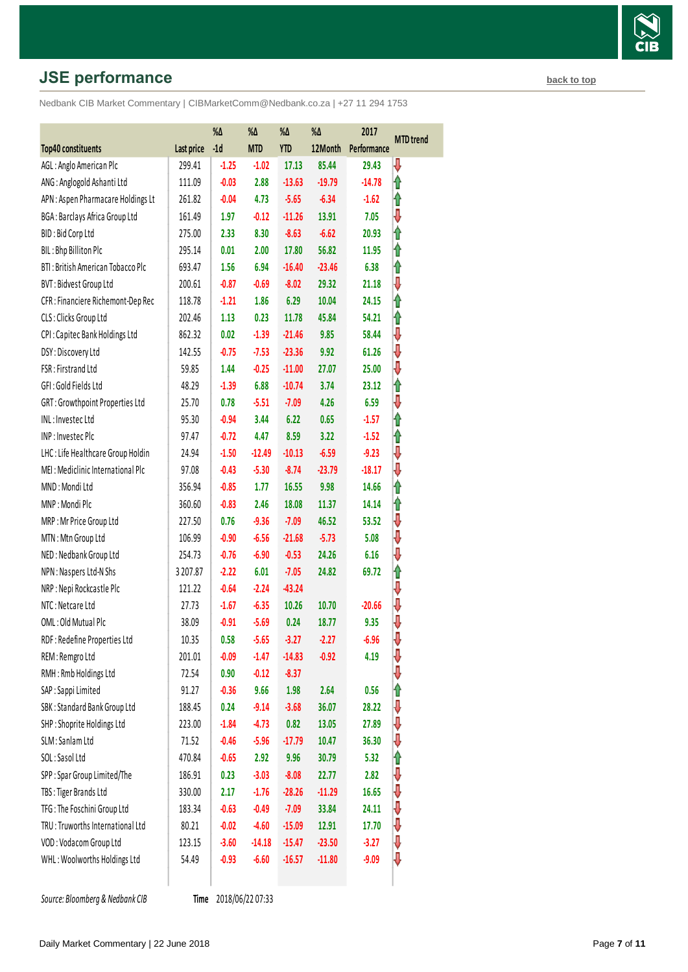# **JSE performance [back to top](#page-0-0) back to top**

Nedbank CIB Market Commentary | CIBMarketComm@Nedbank.co.za | +27 11 294 1753

|                                    |            | %Δ      | %Δ         | %Δ         | %Δ       | 2017        | <b>MTD</b> trend |  |
|------------------------------------|------------|---------|------------|------------|----------|-------------|------------------|--|
| <b>Top40 constituents</b>          | Last price | $-1d$   | <b>MTD</b> | <b>YTD</b> | 12Month  | Performance |                  |  |
| AGL: Anglo American Plc            | 299.41     | $-1.25$ | $-1.02$    | 17.13      | 85.44    | 29.43       | ⇩                |  |
| ANG: Anglogold Ashanti Ltd         | 111.09     | $-0.03$ | 2.88       | $-13.63$   | $-19.79$ | $-14.78$    | 1                |  |
| APN : Aspen Pharmacare Holdings Lt | 261.82     | $-0.04$ | 4.73       | $-5.65$    | $-6.34$  | $-1.62$     | ⇑                |  |
| BGA: Barclays Africa Group Ltd     | 161.49     | 1.97    | $-0.12$    | $-11.26$   | 13.91    | 7.05        | ⇩                |  |
| BID: Bid Corp Ltd                  | 275.00     | 2.33    | 8.30       | $-8.63$    | $-6.62$  | 20.93       | ⇑                |  |
| BIL: Bhp Billiton Plc              | 295.14     | 0.01    | 2.00       | 17.80      | 56.82    | 11.95       | ⇑                |  |
| BTI: British American Tobacco Plc  | 693.47     | 1.56    | 6.94       | $-16.40$   | $-23.46$ | 6.38        | ⇑                |  |
| <b>BVT: Bidvest Group Ltd</b>      | 200.61     | $-0.87$ | $-0.69$    | $-8.02$    | 29.32    | 21.18       | ⇩                |  |
| CFR : Financiere Richemont-Dep Rec | 118.78     | $-1.21$ | 1.86       | 6.29       | 10.04    | 24.15       | ⇑                |  |
| CLS: Clicks Group Ltd              | 202.46     | 1.13    | 0.23       | 11.78      | 45.84    | 54.21       | ⇑                |  |
| CPI: Capitec Bank Holdings Ltd     | 862.32     | 0.02    | $-1.39$    | $-21.46$   | 9.85     | 58.44       | ⇩                |  |
| DSY: Discovery Ltd                 | 142.55     | $-0.75$ | $-7.53$    | $-23.36$   | 9.92     | 61.26       | ⇩                |  |
| FSR: Firstrand Ltd                 | 59.85      | 1.44    | $-0.25$    | $-11.00$   | 27.07    | 25.00       | ⇩                |  |
| GFI: Gold Fields Ltd               | 48.29      | $-1.39$ | 6.88       | $-10.74$   | 3.74     | 23.12       | ⇑                |  |
| GRT: Growthpoint Properties Ltd    | 25.70      | 0.78    | $-5.51$    | $-7.09$    | 4.26     | 6.59        | ⇩                |  |
| INL: Investec Ltd                  | 95.30      | $-0.94$ | 3.44       | 6.22       | 0.65     | $-1.57$     | ⇑                |  |
| INP: Investec Plc                  | 97.47      | $-0.72$ | 4.47       | 8.59       | 3.22     | $-1.52$     | ⇑                |  |
| LHC: Life Healthcare Group Holdin  | 24.94      | $-1.50$ | $-12.49$   | $-10.13$   | $-6.59$  | $-9.23$     | ⇩                |  |
| MEI: Mediclinic International Plc  | 97.08      | $-0.43$ | $-5.30$    | $-8.74$    | $-23.79$ | $-18.17$    | ⇩                |  |
| MND: Mondi Ltd                     | 356.94     | $-0.85$ | 1.77       | 16.55      | 9.98     | 14.66       | ⇑                |  |
| MNP: Mondi Plc                     | 360.60     | $-0.83$ | 2.46       | 18.08      | 11.37    | 14.14       | ⇑                |  |
| MRP: Mr Price Group Ltd            | 227.50     | 0.76    | $-9.36$    | $-7.09$    | 46.52    | 53.52       | ⇩                |  |
| MTN: Mtn Group Ltd                 | 106.99     | $-0.90$ | $-6.56$    | $-21.68$   | $-5.73$  | 5.08        | ⇩                |  |
| NED: Nedbank Group Ltd             | 254.73     | $-0.76$ | $-6.90$    | $-0.53$    | 24.26    | 6.16        | ⇩                |  |
| NPN: Naspers Ltd-N Shs             | 3 207.87   | $-2.22$ | 6.01       | $-7.05$    | 24.82    | 69.72       | ⇑                |  |
| NRP : Nepi Rockcastle Plc          | 121.22     | $-0.64$ | $-2.24$    | $-43.24$   |          |             | ⇩                |  |
| NTC: Netcare Ltd                   | 27.73      | $-1.67$ | $-6.35$    | 10.26      | 10.70    | $-20.66$    | ⇩                |  |
| OML: Old Mutual Plc                | 38.09      | $-0.91$ | $-5.69$    | 0.24       | 18.77    | 9.35        | ⇩                |  |
| RDF: Redefine Properties Ltd       | 10.35      | 0.58    | $-5.65$    | $-3.27$    | $-2.27$  | $-6.96$     | ₩                |  |
| REM: Remgro Ltd                    | 201.01     | $-0.09$ | $-1.47$    | $-14.83$   | $-0.92$  | 4.19        | ⇩                |  |
| RMH: Rmb Holdings Ltd              | 72.54      | 0.90    | $-0.12$    | $-8.37$    |          |             | ⇓                |  |
| SAP : Sappi Limited                | 91.27      | $-0.36$ | 9.66       | 1.98       | 2.64     | 0.56        | ⇑                |  |
| SBK: Standard Bank Group Ltd       | 188.45     | 0.24    | $-9.14$    | $-3.68$    | 36.07    | 28.22       | ⇓                |  |
| SHP: Shoprite Holdings Ltd         | 223.00     | $-1.84$ | $-4.73$    | 0.82       | 13.05    | 27.89       | ⇩                |  |
| SLM: Sanlam Ltd                    | 71.52      | $-0.46$ | $-5.96$    | $-17.79$   | 10.47    | 36.30       | ⇩                |  |
| SOL: Sasol Ltd                     | 470.84     | $-0.65$ | 2.92       | 9.96       | 30.79    | 5.32        | ⇑                |  |
| SPP: Spar Group Limited/The        | 186.91     | 0.23    | $-3.03$    | $-8.08$    | 22.77    | 2.82        | ⇓                |  |
| TBS: Tiger Brands Ltd              | 330.00     | 2.17    | $-1.76$    | $-28.26$   | $-11.29$ | 16.65       | ⇓                |  |
| TFG: The Foschini Group Ltd        | 183.34     | $-0.63$ | $-0.49$    | $-7.09$    | 33.84    | 24.11       | ⇓                |  |
| TRU: Truworths International Ltd   | 80.21      | $-0.02$ | $-4.60$    | $-15.09$   | 12.91    | 17.70       | ⇩                |  |
| VOD: Vodacom Group Ltd             | 123.15     | $-3.60$ | $-14.18$   | $-15.47$   | $-23.50$ | $-3.27$     | ⇩                |  |
| WHL: Woolworths Holdings Ltd       | 54.49      | $-0.93$ | $-6.60$    | $-16.57$   | $-11.80$ | $-9.09$     | ₩                |  |
|                                    |            |         |            |            |          |             |                  |  |

**Source: Bloomberg & Nedbank CIB** 

Time 2018/06/22 07:33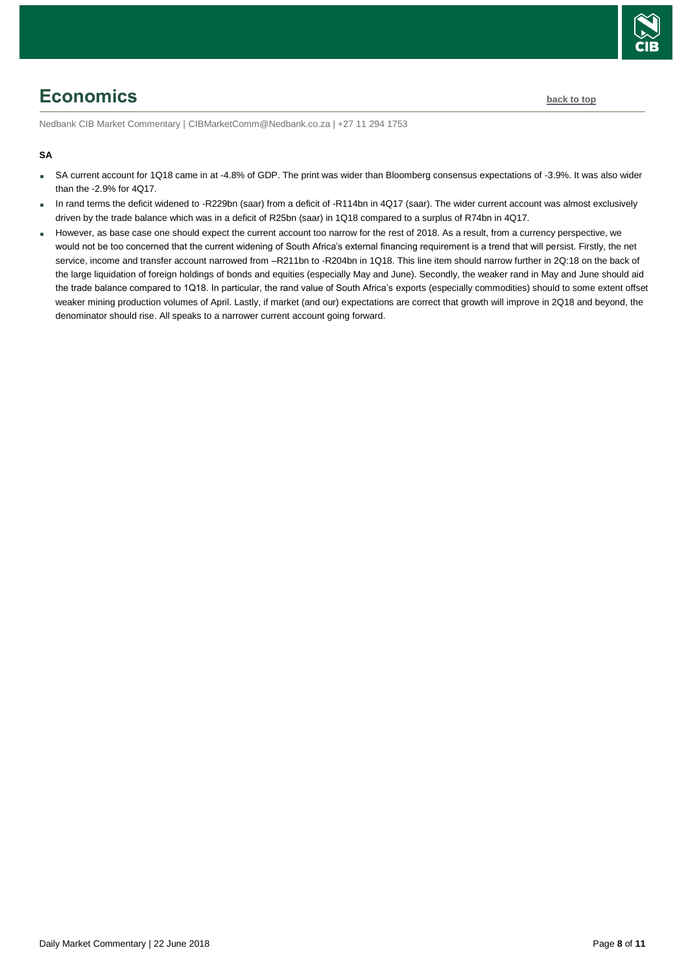

# <span id="page-7-0"></span>**Economics [back to top](#page-0-0)**

Nedbank CIB Market Commentary | CIBMarketComm@Nedbank.co.za | +27 11 294 1753

## **SA**

- SA current account for 1Q18 came in at -4.8% of GDP. The print was wider than Bloomberg consensus expectations of -3.9%. It was also wider than the -2.9% for 4Q17.
- In rand terms the deficit widened to -R229bn (saar) from a deficit of -R114bn in 4Q17 (saar). The wider current account was almost exclusively driven by the trade balance which was in a deficit of R25bn (saar) in 1Q18 compared to a surplus of R74bn in 4Q17.
- However, as base case one should expect the current account too narrow for the rest of 2018. As a result, from a currency perspective, we would not be too concerned that the current widening of South Africa's external financing requirement is a trend that will persist. Firstly, the net service, income and transfer account narrowed from –R211bn to -R204bn in 1Q18. This line item should narrow further in 2Q:18 on the back of the large liquidation of foreign holdings of bonds and equities (especially May and June). Secondly, the weaker rand in May and June should aid the trade balance compared to 1Q18. In particular, the rand value of South Africa's exports (especially commodities) should to some extent offset weaker mining production volumes of April. Lastly, if market (and our) expectations are correct that growth will improve in 2Q18 and beyond, the denominator should rise. All speaks to a narrower current account going forward.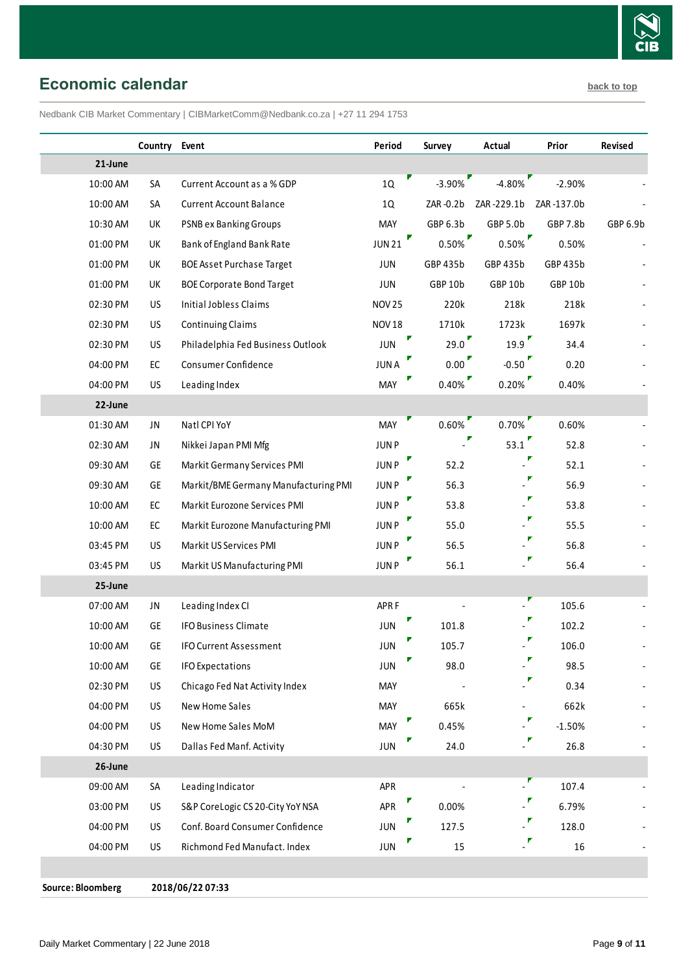

<span id="page-8-0"></span>**Economic calendar [back to top](#page-0-0)** 

Nedbank CIB Market Commentary | CIBMarketComm@Nedbank.co.za | +27 11 294 1753

|                   | Country Event |                                      | Period             | Survey   | <b>Actual</b>                    | Prior      | Revised  |
|-------------------|---------------|--------------------------------------|--------------------|----------|----------------------------------|------------|----------|
| 21-June           |               |                                      |                    |          |                                  |            |          |
| 10:00 AM          | SA            | Current Account as a % GDP           | 1Q                 | $-3.90%$ | $-4.80%$                         | $-2.90%$   |          |
| 10:00 AM          | SA            | <b>Current Account Balance</b>       | 1Q                 | ZAR-0.2b | ZAR-229.1b                       | ZAR-137.0b |          |
| 10:30 AM          | UK            | <b>PSNB ex Banking Groups</b>        | <b>MAY</b>         | GBP 6.3b | GBP 5.0b                         | GBP 7.8b   | GBP 6.9b |
| 01:00 PM          | UK            | Bank of England Bank Rate            | Γ<br><b>JUN 21</b> | $0.50\%$ | $0.50\%$                         | 0.50%      |          |
| 01:00 PM          | UK            | <b>BOE Asset Purchase Target</b>     | JUN                | GBP 435b | GBP 435b                         | GBP 435b   |          |
| 01:00 PM          | UK            | <b>BOE Corporate Bond Target</b>     | <b>JUN</b>         | GBP 10b  | GBP 10b                          | GBP 10b    |          |
| 02:30 PM          | US            | Initial Jobless Claims               | <b>NOV 25</b>      | 220k     | 218k                             | 218k       |          |
| 02:30 PM          | US            | <b>Continuing Claims</b>             | <b>NOV 18</b>      | 1710k    | 1723k                            | 1697k      |          |
| 02:30 PM          | US            | Philadelphia Fed Business Outlook    | JUN                | 29.0     | $19.9$ <sup><math>"</math></sup> | 34.4       |          |
| 04:00 PM          | $\mathsf{EC}$ | Consumer Confidence                  | <b>JUNA</b>        | 0.00     | $-0.50$                          | 0.20       |          |
| 04:00 PM          | US            | Leading Index                        | <b>MAY</b>         | $0.40\%$ | $0.20\%$                         | 0.40%      |          |
| 22-June           |               |                                      |                    |          |                                  |            |          |
| 01:30 AM          | JN            | Natl CPI YoY                         | <b>MAY</b>         | $0.60\%$ | $0.70\%$                         | 0.60%      |          |
| 02:30 AM          | JN            | Nikkei Japan PMI Mfg                 | <b>JUNP</b>        |          | 53.1                             | 52.8       |          |
| 09:30 AM          | GE            | Markit Germany Services PMI          | <b>JUNP</b>        | 52.2     |                                  | 52.1       |          |
| 09:30 AM          | GE            | Markit/BME Germany Manufacturing PMI | <b>JUNP</b>        | 56.3     |                                  | 56.9       |          |
| 10:00 AM          | $\mathsf{EC}$ | Markit Eurozone Services PMI         | <b>JUNP</b>        | 53.8     | $\mathbb{P}$                     | 53.8       |          |
| 10:00 AM          | EC            | Markit Eurozone Manufacturing PMI    | <b>JUNP</b>        | 55.0     |                                  | 55.5       |          |
| 03:45 PM          | US            | Markit US Services PMI               | JUN P              | 56.5     | $\blacksquare$                   | 56.8       |          |
| 03:45 PM          | US            | Markit US Manufacturing PMI          | <b>JUNP</b>        | 56.1     |                                  | 56.4       |          |
| 25-June           |               |                                      |                    |          |                                  |            |          |
| 07:00 AM          | JN            | Leading Index CI                     | APR <sub>F</sub>   |          |                                  | 105.6      |          |
| 10:00 AM          | GE            | <b>IFO Business Climate</b>          | <b>JUN</b>         | 101.8    |                                  | 102.2      |          |
| 10:00 AM          | GE            | <b>IFO Current Assessment</b>        | <b>JUN</b>         | 105.7    | F                                | 106.0      |          |
| 10:00 AM          | GE            | <b>IFO Expectations</b>              | JUN                | 98.0     | $\cdot^{\prime}$                 | 98.5       |          |
| 02:30 PM          | US            | Chicago Fed Nat Activity Index       | MAY                |          | $\mathbb{P}$                     | 0.34       |          |
| 04:00 PM          | US            | <b>New Home Sales</b>                | MAY                | 665k     | $\overline{\phantom{0}}$         | 662k       |          |
| 04:00 PM          | US            | New Home Sales MoM                   | V<br>MAY           | 0.45%    | $\cdot^{\prime}$                 | $-1.50%$   |          |
| 04:30 PM          | US            | Dallas Fed Manf. Activity            | <b>JUN</b>         | 24.0     | ÷,                               | 26.8       |          |
| 26-June           |               |                                      |                    |          |                                  |            |          |
| 09:00 AM          | SA            | Leading Indicator                    | APR                |          |                                  | 107.4      |          |
| 03:00 PM          | US            | S&P CoreLogic CS 20-City YoY NSA     | APR                | 0.00%    |                                  | 6.79%      |          |
| 04:00 PM          | US            | Conf. Board Consumer Confidence      | JUN                | 127.5    |                                  | 128.0      |          |
| 04:00 PM          | US            | Richmond Fed Manufact. Index         | JUN                | 15       | $\mathbb{F}$                     | 16         |          |
|                   |               |                                      |                    |          |                                  |            |          |
| Source: Bloomberg |               | 2018/06/22 07:33                     |                    |          |                                  |            |          |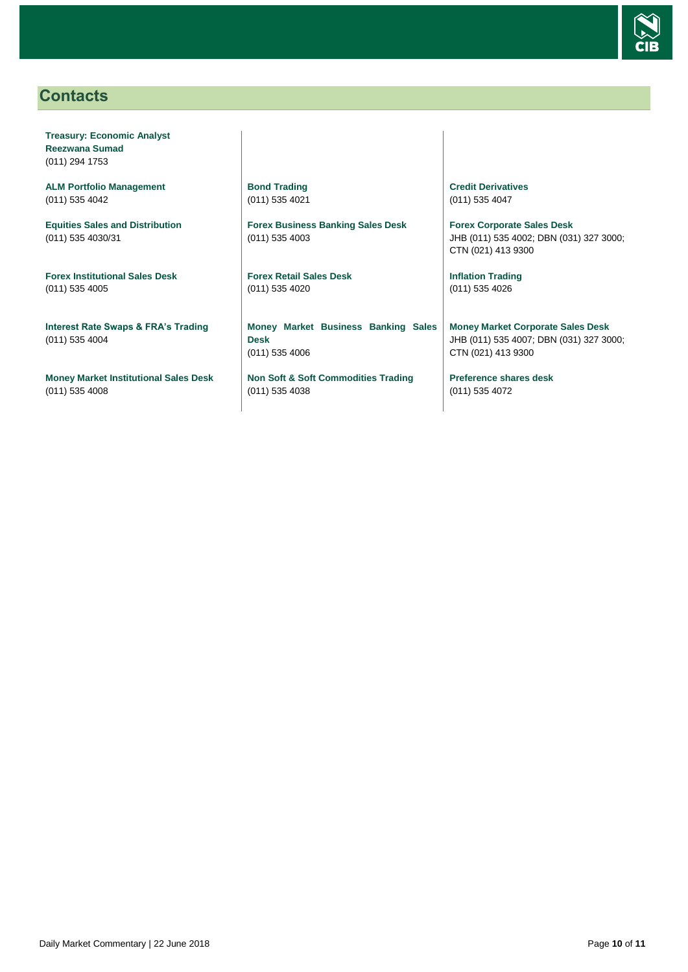

## <span id="page-9-0"></span>**Contacts**

**Treasury: Economic Analyst Reezwana Sumad** (011) 294 1753

**ALM Portfolio Management** (011) 535 4042

**Equities Sales and Distribution** (011) 535 4030/31

**Forex Institutional Sales Desk** (011) 535 4005

**Interest Rate Swaps & FRA's Trading** (011) 535 4004

**Money Market Institutional Sales Desk** (011) 535 4008

**Bond Trading** (011) 535 4021

**Forex Business Banking Sales Desk** (011) 535 4003

**Forex Retail Sales Desk** (011) 535 4020

**Money Market Business Banking Sales Desk** (011) 535 4006

**Non Soft & Soft Commodities Trading** (011) 535 4038

**Credit Derivatives**  (011) 535 4047

**Forex Corporate Sales Desk** JHB (011) 535 4002; DBN (031) 327 3000; CTN (021) 413 9300

**Inflation Trading** (011) 535 4026

**Money Market Corporate Sales Desk** JHB (011) 535 4007; DBN (031) 327 3000; CTN (021) 413 9300

**Preference shares desk** (011) 535 4072